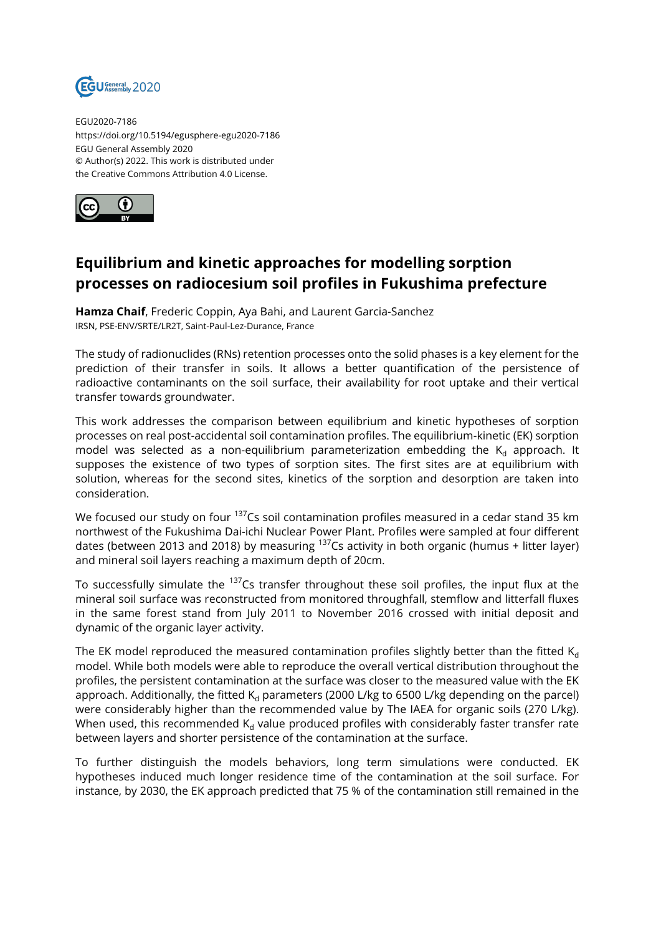

EGU2020-7186 https://doi.org/10.5194/egusphere-egu2020-7186 EGU General Assembly 2020 © Author(s) 2022. This work is distributed under the Creative Commons Attribution 4.0 License.



## **Equilibrium and kinetic approaches for modelling sorption processes on radiocesium soil profiles in Fukushima prefecture**

**Hamza Chaif**, Frederic Coppin, Aya Bahi, and Laurent Garcia-Sanchez IRSN, PSE-ENV/SRTE/LR2T, Saint-Paul-Lez-Durance, France

The study of radionuclides (RNs) retention processes onto the solid phases is a key element for the prediction of their transfer in soils. It allows a better quantification of the persistence of radioactive contaminants on the soil surface, their availability for root uptake and their vertical transfer towards groundwater.

This work addresses the comparison between equilibrium and kinetic hypotheses of sorption processes on real post-accidental soil contamination profiles. The equilibrium-kinetic (EK) sorption model was selected as a non-equilibrium parameterization embedding the  $K_d$  approach. It supposes the existence of two types of sorption sites. The first sites are at equilibrium with solution, whereas for the second sites, kinetics of the sorption and desorption are taken into consideration.

We focused our study on four <sup>137</sup>Cs soil contamination profiles measured in a cedar stand 35 km northwest of the Fukushima Dai-ichi Nuclear Power Plant. Profiles were sampled at four different dates (between 2013 and 2018) by measuring  $137$ Cs activity in both organic (humus + litter layer) and mineral soil layers reaching a maximum depth of 20cm.

To successfully simulate the  $137$ Cs transfer throughout these soil profiles, the input flux at the mineral soil surface was reconstructed from monitored throughfall, stemflow and litterfall fluxes in the same forest stand from July 2011 to November 2016 crossed with initial deposit and dynamic of the organic layer activity.

The EK model reproduced the measured contamination profiles slightly better than the fitted  $K_d$ model. While both models were able to reproduce the overall vertical distribution throughout the profiles, the persistent contamination at the surface was closer to the measured value with the EK approach. Additionally, the fitted  $K_d$  parameters (2000 L/kg to 6500 L/kg depending on the parcel) were considerably higher than the recommended value by The IAEA for organic soils (270 L/kg). When used, this recommended  $K_d$  value produced profiles with considerably faster transfer rate between layers and shorter persistence of the contamination at the surface.

To further distinguish the models behaviors, long term simulations were conducted. EK hypotheses induced much longer residence time of the contamination at the soil surface. For instance, by 2030, the EK approach predicted that 75 % of the contamination still remained in the